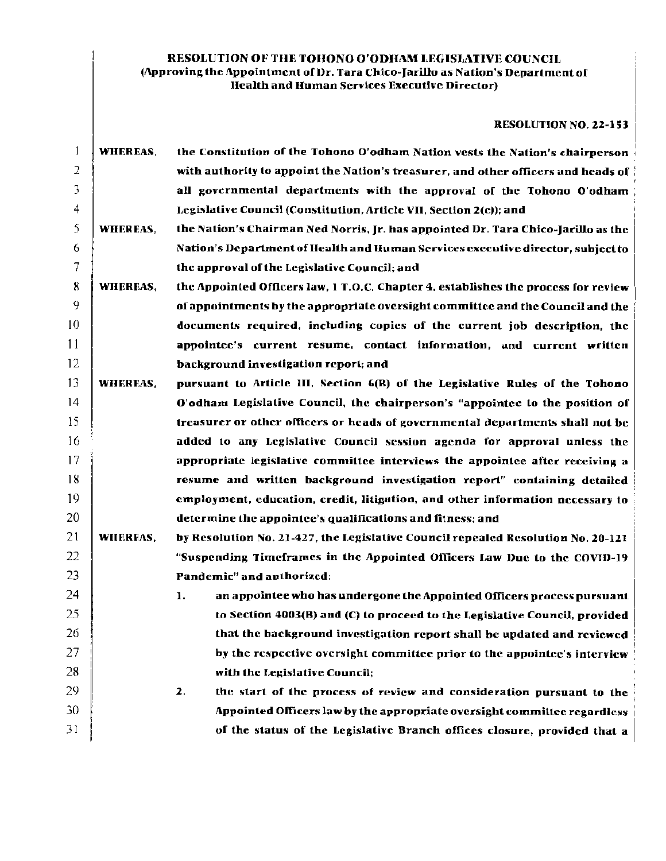## RESOLUTION OF THE TOHONO O'ODHAM LEGISLATIVE COUNCIL (Approving the Appointment of Dr. Tara Chico-Jarillo as Nation's Department of Ilealth and Human Services Executive Director)

## RESOLUTION NO. 22-153

| -1 | WHEREAS, | the Constitution of the Tohono O'odham Nation vests the Nation's chairperson       |  |  |  |  |  |
|----|----------|------------------------------------------------------------------------------------|--|--|--|--|--|
| 2  |          | with authority to appoint the Nation's treasurer, and other officers and heads of  |  |  |  |  |  |
| 3  |          | all governmental departments with the approval of the Tohono O'odham               |  |  |  |  |  |
| 4  |          | Legislative Council (Constitution, Article VII, Section 2(e)); and                 |  |  |  |  |  |
| 5  | WHEREAS, | the Nation's Chairman Ned Norris, Jr. has appointed Dr. Tara Chico-Jarillo as the  |  |  |  |  |  |
| 6  |          | Nation's Department of Health and Human Services executive director, subject to    |  |  |  |  |  |
| 7  |          | the approval of the Legislative Council; and                                       |  |  |  |  |  |
| 8  | WHEREAS, | the Appointed Officers law, 1 T.O.C. Chapter 4, establishes the process for review |  |  |  |  |  |
| 9  |          | of appointments by the appropriate oversight committee and the Council and the     |  |  |  |  |  |
| 10 |          | documents required, including copies of the current job description, the           |  |  |  |  |  |
| 11 |          | appointee's current resume, contact information, and current written               |  |  |  |  |  |
| 12 |          | background investigation report; and                                               |  |  |  |  |  |
| 13 | WHEREAS, | pursuant to Article III, Section 6(B) of the Legislative Rules of the Tohono       |  |  |  |  |  |
| 14 |          | O'odham Legislative Council, the chairperson's "appointee to the position of       |  |  |  |  |  |
| 15 |          | treasurer or other officers or heads of governmental departments shall not be      |  |  |  |  |  |
| 16 |          | added to any Legislative Council session agenda for approval unless the            |  |  |  |  |  |
| 17 |          | appropriate legislative committee interviews the appointee after receiving a       |  |  |  |  |  |
| 18 |          | resume and written background investigation report" containing detailed            |  |  |  |  |  |
| 19 |          | employment, education, credit, litigation, and other information necessary to      |  |  |  |  |  |
| 20 |          | determine the appointee's qualifications and fitness; and                          |  |  |  |  |  |
| 21 | WHEREAS, | by Resolution No. 21-427, the Legislative Council repealed Resolution No. 20-121   |  |  |  |  |  |
| 22 |          | "Suspending Timeframes in the Appointed Officers Law Due to the COVID-19           |  |  |  |  |  |
| 23 |          | Pandemic" and authorized:                                                          |  |  |  |  |  |
| 24 |          | an appointee who has undergone the Appointed Officers process pursuant<br>1.       |  |  |  |  |  |
| 25 |          | to Section 4003(B) and (C) to proceed to the Legislative Council, provided         |  |  |  |  |  |
| 26 |          | that the background investigation report shall be updated and reviewed             |  |  |  |  |  |
| 27 |          | by the respective oversight committee prior to the appointee's interview           |  |  |  |  |  |
| 28 |          | with the Legislative Council;                                                      |  |  |  |  |  |
| 29 |          | the start of the process of review and consideration pursuant to the<br>2.         |  |  |  |  |  |
| 30 |          | Appointed Officers law by the appropriate oversight committee regardless           |  |  |  |  |  |
| 31 |          | of the status of the Legislative Branch offices closure, provided that a           |  |  |  |  |  |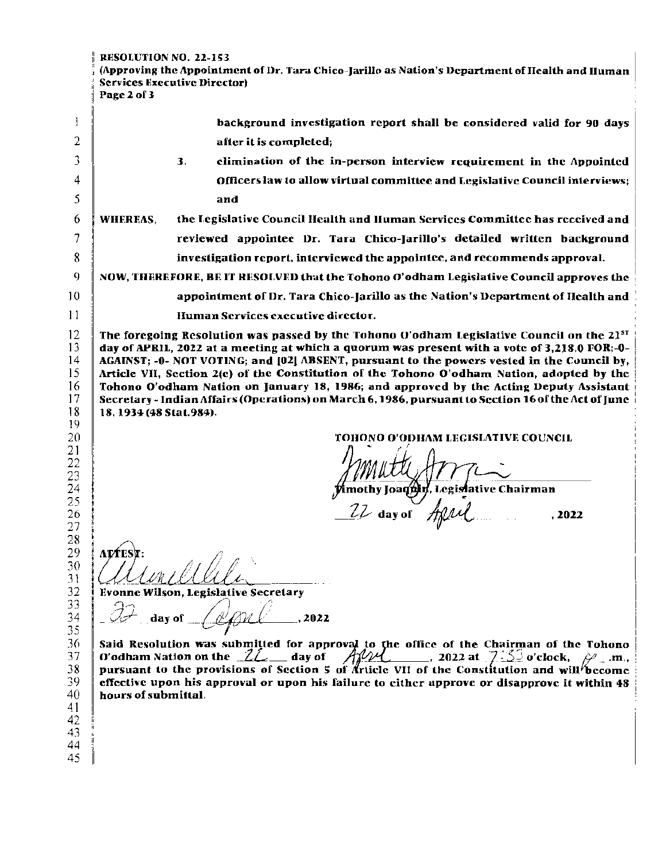RESOLUTION NO. 22-153 (Approving the Appointment of Dr. Tara Chico-Jarillo as Nation's Department of Health and Human Services Executive Director) Page 2 of 3 1 background investigation report shall be considered \'alid for 90 days 2 after it is completed; 3 elimination of the in-person interview requirement in the Appointed 3. 4 Officers law to allow virtual committee and Legislative Council interviews; 5 and 6 WHEREAS. the Legislative Council Health and Iluman Services Committee has received and 7 reviewed appointee Dr. Tara Chico-Jarillo's detailed written background 8 investigation report, interviewed the appointee, and recommends approval. 9 NOW, THEREFORE, BE IT RESOLVED that the Tohono O'odham Legislative Council approves the 10 appointment of IJr. Tara Chico-]arillo as the Nation's Department of Ileallh and 11 lluman Services executive director. 12 The foregoing Resolution was passed by the Tohono O'odham Legislative Council on the  $21^{51}$ 13 day of APRIL, 2022 at a meeting at which a quorum was present with a vote of 3,218.0 FOR;-0- 14 AGAINST; -0- NOT VOTING; and (021 ABSENT, pursuant to the powers vested in the Council by, 15 Article VII, Section 2(e) ot' the Constitution of the Tohono O'odham Nation, adopted by the Tohono O'odham Nation on January 18, 1986; and approved by the Acting Deputy Assistant 1 16 17 Secretary - Indian Affairs (Operations) on March 6, 1986, pursuant to Section 16 of the Act of June 18 18, 1934 (48 Stat.984). 19 20 TOHONO O'ODHAM LEGISLATIVE COUNCIL 21 22 23 imothy Joaquin, Legislative Chairman 24 25  $_{\text{day of}}$   $\frac{A}{\mu}$  , 2022  $\frac{26}{27}$ 28 29 **ATTES** 30 31 32 **Evonne Wilson, Legislative Secretary** 33 'Dan 34 day of .2022 35 Said Resolution was submitted for approval to the office of the Chairman of the Tohono O'odham Nation on the  $2\ell$  ay of  $\mathcal{A}\mathcal{U}\mathcal{U}$  , 2022 at  $7\leq$  o'clock,  $\mathcal{V}$  .m., 36 37 pursuant to the provisions of Section 5 of Article VII of the Constitution and will<sup>1</sup>become effective upon his approval or upon his failure to either approve or disapprove it within 48 38 39 40 hours of submittal. 41 42 43 44

45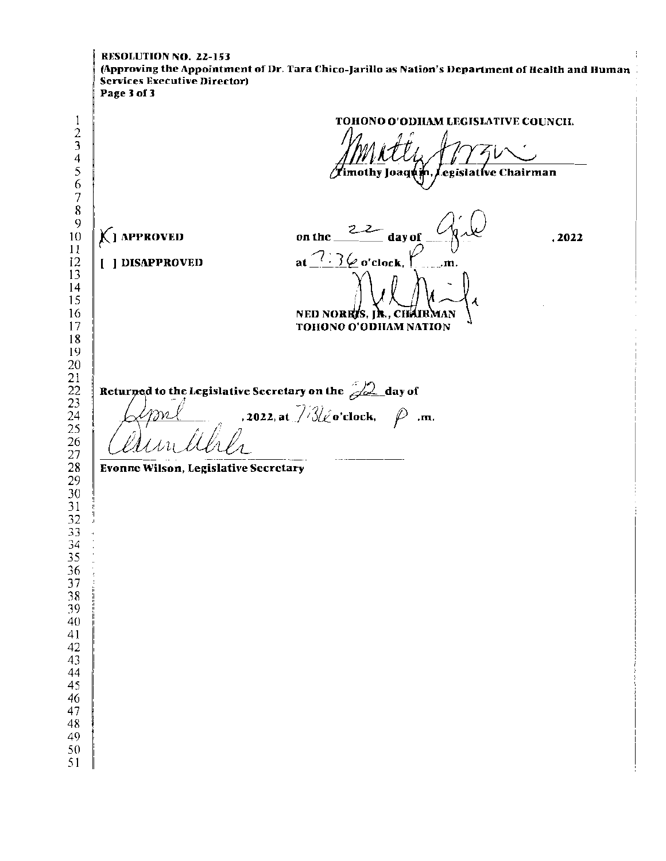RESOLUTION NO. 22-153 (Approving the Appointment of Dr. Tara Chico-Jarillo as Nation's Department of Health and Human **Services Executive Director)** Page 3 of 3 TOHONO O'ODHAM LEGISLATIVE COUNCIL  $\begin{array}{c} 1 \\ 2 \\ 3 \end{array}$  $45678$ mothy Joaquin, ) egislative Chairman  $\mathbf Q$  $22$  day of KI APPROVED on the  $10$  $, 2022$  $11$ at  $7:3\varphi$  o'clock,  $12$ [ ] DISAPPROVED  $\mathbf{m}$ 13  $14$ 15 16 NED NORRIS. IR., CHAIRMAN  $17$ TOHONO O'ODHAM NATION  $18$ 19 20  $\begin{array}{c} 21 \\ 22 \\ 23 \\ 24 \\ 25 \end{array}$ Returned to the Legislative Secretary on the 22 day of , 2022, at  $\frac{7}{3}$   $\frac{2}{\omega}$  o'clock,  $\varphi$  .m.  $\frac{26}{27}$ 28 **Evonne Wilson, Legislative Secretary**  $\overline{29}$ 30  $\frac{5}{1}$  $\frac{1}{32}$ 34 35 36 37 38 39 40 41 42 43 44 45 46 47 48 49 50 51